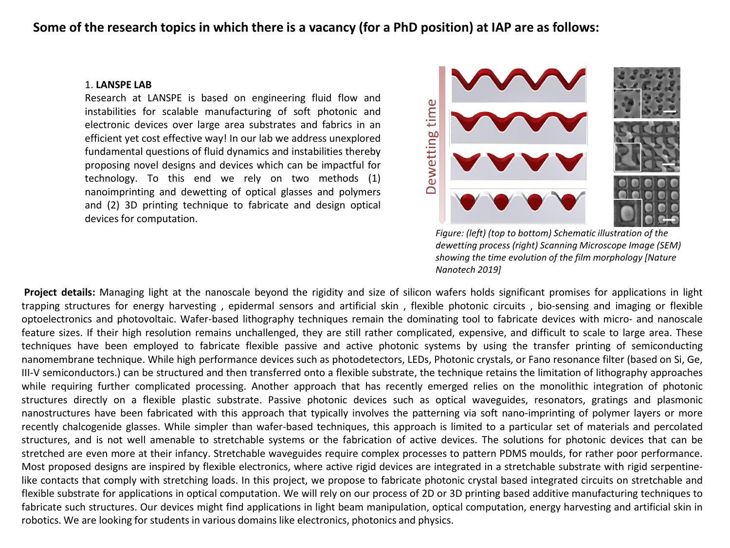## **Some of the research topics in which there is a vacancy (for a PhD position) at IAP are as follows:**

## 1. **LANSPE LAB**

Research at LANSPE is based on engineering fluid flow and instabilities for scalable manufacturing of soft photonic and electronic devices over large area substrates and fabrics in an efficient yet cost effective way! In our lab we address unexplored fundamental questions of fluid dynamics and instabilities thereby proposing novel designs and devices which can be impactful for technology. To this end we rely on two methods (1) nanoimprinting and dewetting of optical glasses and polymers and (2) 3D printing technique to fabricate and design optical devices for computation.



*Figure: (left) (top to bottom) Schematic illustration of the dewetting process (right) Scanning Microscope Image (SEM) showing the time evolution of the film morphology [Nature Nanotech 2019]*

**Project details:** Managing light at the nanoscale beyond the rigidity and size of silicon wafers holds significant promises for applications in light trapping structures for energy harvesting , epidermal sensors and artificial skin , flexible photonic circuits , bio-sensing and imaging or flexible optoelectronics and photovoltaic. Wafer-based lithography techniques remain the dominating tool to fabricate devices with micro- and nanoscale feature sizes. If their high resolution remains unchallenged, they are still rather complicated, expensive, and difficult to scale to large area. These techniques have been employed to fabricate flexible passive and active photonic systems by using the transfer printing of semiconducting nanomembrane technique. While high performance devices such as photodetectors, LEDs, Photonic crystals, or Fano resonance filter (based on Si, Ge, III-V semiconductors.) can be structured and then transferred onto a flexible substrate, the technique retains the limitation of lithography approaches while requiring further complicated processing. Another approach that has recently emerged relies on the monolithic integration of photonic structures directly on a flexible plastic substrate. Passive photonic devices such as optical waveguides, resonators, gratings and plasmonic nanostructures have been fabricated with this approach that typically involves the patterning via soft nano-imprinting of polymer layers or more recently chalcogenide glasses. While simpler than wafer-based techniques, this approach is limited to a particular set of materials and percolated structures, and is not well amenable to stretchable systems or the fabrication of active devices. The solutions for photonic devices that can be stretched are even more at their infancy. Stretchable waveguides require complex processes to pattern PDMS moulds, for rather poor performance. Most proposed designs are inspired by flexible electronics, where active rigid devices are integrated in a stretchable substrate with rigid serpentinelike contacts that comply with stretching loads. In this project, we propose to fabricate photonic crystal based integrated circuits on stretchable and flexible substrate for applications in optical computation. We will rely on our process of 2D or 3D printing based additive manufacturing techniques to fabricate such structures. Our devices might find applications in light beam manipulation, optical computation, energy harvesting and artificial skin in robotics. We are looking for students in various domains like electronics, photonics and physics.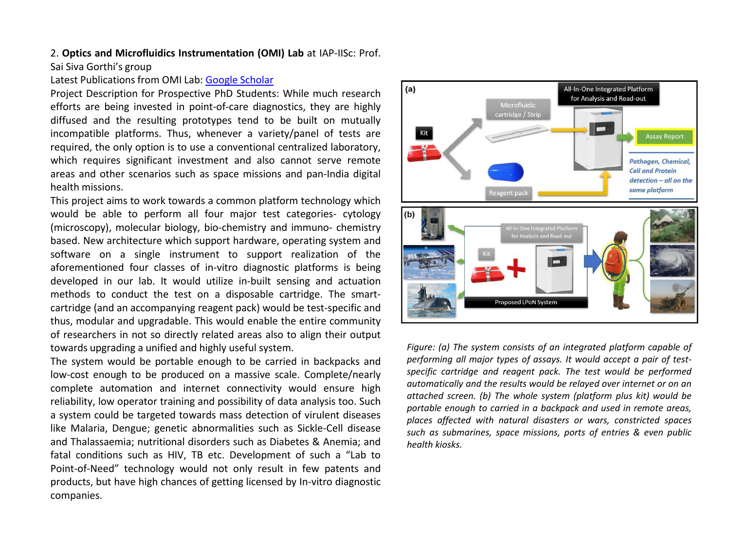## 2. **Optics and Microfluidics Instrumentation (OMI) Lab** at IAP-IISc: Prof.

Sai Siva Gorthi's group

## Latest Publications from OMI Lab: [Google](https://scholar.google.com/citations?hl=en&user=9UiF1owAAAAJ&view_op=list_works&sortby=pubdate) [Scholar](https://scholar.google.com/citations?hl=en&user=9UiF1owAAAAJ&view_op=list_works&sortby=pubdate)

Project Description for Prospective PhD Students: While much research efforts are being invested in point-of-care diagnostics, they are highly diffused and the resulting prototypes tend to be built on mutually incompatible platforms. Thus, whenever a variety/panel of tests are required, the only option is to use a conventional centralized laboratory, which requires significant investment and also cannot serve remote areas and other scenarios such as space missions and pan-India digital health missions.

This project aims to work towards a common platform technology which would be able to perform all four major test categories- cytology (microscopy), molecular biology, bio-chemistry and immuno- chemistry based. New architecture which support hardware, operating system and software on a single instrument to support realization of the aforementioned four classes of in-vitro diagnostic platforms is being developed in our lab. It would utilize in-built sensing and actuation methods to conduct the test on a disposable cartridge. The smartcartridge (and an accompanying reagent pack) would be test-specific and thus, modular and upgradable. This would enable the entire community of researchers in not so directly related areas also to align their output towards upgrading a unified and highly useful system.

The system would be portable enough to be carried in backpacks and low-cost enough to be produced on a massive scale. Complete/nearly complete automation and internet connectivity would ensure high reliability, low operator training and possibility of data analysis too. Such a system could be targeted towards mass detection of virulent diseases like Malaria, Dengue; genetic abnormalities such as Sickle-Cell disease and Thalassaemia; nutritional disorders such as Diabetes & Anemia; and fatal conditions such as HIV, TB etc. Development of such a "Lab to Point-of-Need" technology would not only result in few patents and products, but have high chances of getting licensed by In-vitro diagnostic companies.



*Figure: (a) The system consists of an integrated platform capable of performing all major types of assays. It would accept a pair of testspecific cartridge and reagent pack. The test would be performed automatically and the results would be relayed over internet or on an attached screen. (b) The whole system (platform plus kit) would be portable enough to carried in a backpack and used in remote areas, places affected with natural disasters or wars, constricted spaces such as submarines, space missions, ports of entries & even public health kiosks.*